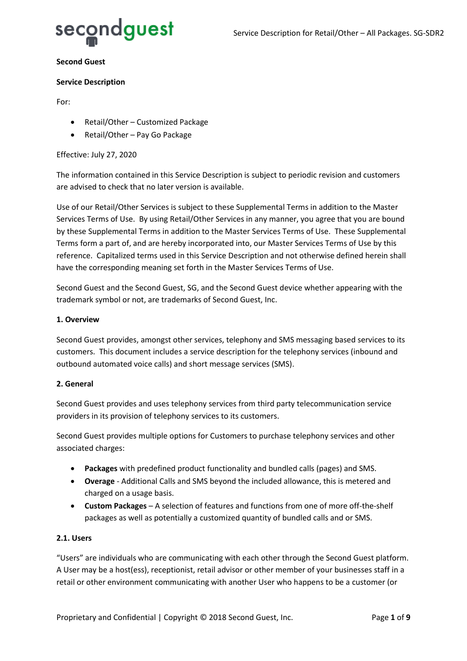

#### **Second Guest**

#### **Service Description**

For:

- Retail/Other Customized Package
- Retail/Other Pay Go Package

#### Effective: July 27, 2020

The information contained in this Service Description is subject to periodic revision and customers are advised to check that no later version is available.

Use of our Retail/Other Services is subject to these Supplemental Terms in addition to the Master Services Terms of Use. By using Retail/Other Services in any manner, you agree that you are bound by these Supplemental Terms in addition to the Master Services Terms of Use. These Supplemental Terms form a part of, and are hereby incorporated into, our Master Services Terms of Use by this reference. Capitalized terms used in this Service Description and not otherwise defined herein shall have the corresponding meaning set forth in the Master Services Terms of Use.

Second Guest and the Second Guest, SG, and the Second Guest device whether appearing with the trademark symbol or not, are trademarks of Second Guest, Inc.

#### **1. Overview**

Second Guest provides, amongst other services, telephony and SMS messaging based services to its customers. This document includes a service description for the telephony services (inbound and outbound automated voice calls) and short message services (SMS).

#### **2. General**

Second Guest provides and uses telephony services from third party telecommunication service providers in its provision of telephony services to its customers.

Second Guest provides multiple options for Customers to purchase telephony services and other associated charges:

- **Packages** with predefined product functionality and bundled calls (pages) and SMS.
- **Overage** Additional Calls and SMS beyond the included allowance, this is metered and charged on a usage basis.
- **Custom Packages** A selection of features and functions from one of more off-the-shelf packages as well as potentially a customized quantity of bundled calls and or SMS.

#### **2.1. Users**

"Users" are individuals who are communicating with each other through the Second Guest platform. A User may be a host(ess), receptionist, retail advisor or other member of your businesses staff in a retail or other environment communicating with another User who happens to be a customer (or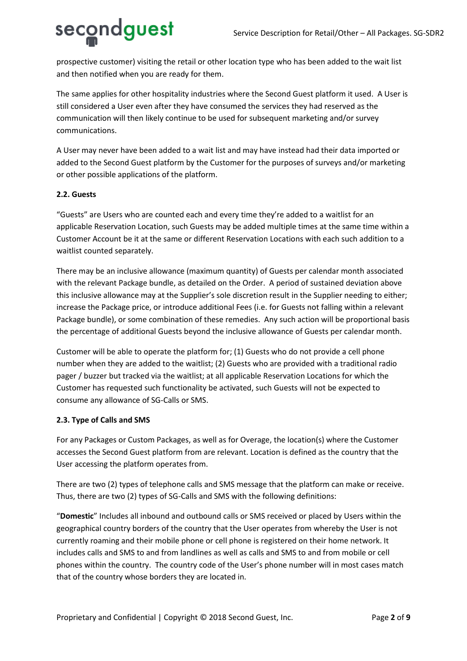# secondguest

prospective customer) visiting the retail or other location type who has been added to the wait list and then notified when you are ready for them.

The same applies for other hospitality industries where the Second Guest platform it used. A User is still considered a User even after they have consumed the services they had reserved as the communication will then likely continue to be used for subsequent marketing and/or survey communications.

A User may never have been added to a wait list and may have instead had their data imported or added to the Second Guest platform by the Customer for the purposes of surveys and/or marketing or other possible applications of the platform.

# **2.2. Guests**

"Guests" are Users who are counted each and every time they're added to a waitlist for an applicable Reservation Location, such Guests may be added multiple times at the same time within a Customer Account be it at the same or different Reservation Locations with each such addition to a waitlist counted separately.

There may be an inclusive allowance (maximum quantity) of Guests per calendar month associated with the relevant Package bundle, as detailed on the Order. A period of sustained deviation above this inclusive allowance may at the Supplier's sole discretion result in the Supplier needing to either; increase the Package price, or introduce additional Fees (i.e. for Guests not falling within a relevant Package bundle), or some combination of these remedies. Any such action will be proportional basis the percentage of additional Guests beyond the inclusive allowance of Guests per calendar month.

Customer will be able to operate the platform for; (1) Guests who do not provide a cell phone number when they are added to the waitlist; (2) Guests who are provided with a traditional radio pager / buzzer but tracked via the waitlist; at all applicable Reservation Locations for which the Customer has requested such functionality be activated, such Guests will not be expected to consume any allowance of SG-Calls or SMS.

# **2.3. Type of Calls and SMS**

For any Packages or Custom Packages, as well as for Overage, the location(s) where the Customer accesses the Second Guest platform from are relevant. Location is defined as the country that the User accessing the platform operates from.

There are two (2) types of telephone calls and SMS message that the platform can make or receive. Thus, there are two (2) types of SG-Calls and SMS with the following definitions:

"**Domestic**" Includes all inbound and outbound calls or SMS received or placed by Users within the geographical country borders of the country that the User operates from whereby the User is not currently roaming and their mobile phone or cell phone is registered on their home network. It includes calls and SMS to and from landlines as well as calls and SMS to and from mobile or cell phones within the country. The country code of the User's phone number will in most cases match that of the country whose borders they are located in.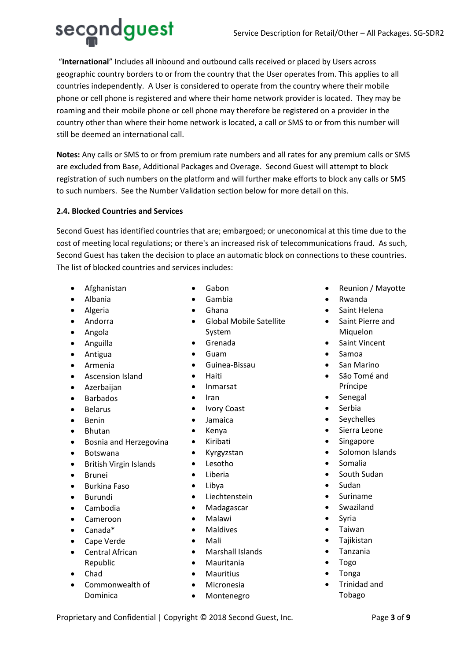secondguest "**International**" Includes all inbound and outbound calls received or placed by Users across geographic country borders to or from the country that the User operates from. This applies to all countries independently. A User is considered to operate from the country where their mobile phone or cell phone is registered and where their home network provider is located. They may be roaming and their mobile phone or cell phone may therefore be registered on a provider in the country other than where their home network is located, a call or SMS to or from this number will still be deemed an international call.

**Notes:** Any calls or SMS to or from premium rate numbers and all rates for any premium calls or SMS are excluded from Base, Additional Packages and Overage. Second Guest will attempt to block registration of such numbers on the platform and will further make efforts to block any calls or SMS to such numbers. See the Number Validation section below for more detail on this.

# **2.4. Blocked Countries and Services**

Second Guest has identified countries that are; embargoed; or uneconomical at this time due to the cost of meeting local regulations; or there's an increased risk of telecommunications fraud. As such, Second Guest has taken the decision to place an automatic block on connections to these countries. The list of blocked countries and services includes:

- Afghanistan
- Albania
- Algeria
- Andorra
- Angola
- Anguilla
- Antigua
- Armenia
- Ascension Island
- Azerbaijan
- Barbados
- Belarus
- Benin
- Bhutan
- Bosnia and Herzegovina
- Botswana
- British Virgin Islands
- Brunei
- Burkina Faso
- Burundi
- Cambodia
- Cameroon
- Canada\*
- Cape Verde
- Central African Republic
- Chad
- Commonwealth of Dominica
- Gabon
- Gambia
- Ghana
- Global Mobile Satellite System
- Grenada
- Guam
- Guinea-Bissau
- Haiti
- Inmarsat
- Iran
- Ivory Coast
- Jamaica
- Kenya
- Kiribati
- Kyrgyzstan
- Lesotho
- Liberia
- Libya
- Liechtenstein
- Madagascar
- Malawi
- Maldives
- Mali
- Marshall Islands
- Mauritania
- Mauritius
- Micronesia
- Montenegro
- Reunion / Mayotte
- Rwanda
- Saint Helena
- Saint Pierre and Miquelon
- Saint Vincent
- Samoa
- San Marino
- São Tomé and Príncipe
- **Senegal**
- Serbia
- Seychelles
- Sierra Leone
- **Singapore**
- Solomon Islands
- Somalia
- South Sudan
- Sudan
- Suriname
- Swaziland
- **Syria**
- Taiwan
- Tajikistan
- Tanzania
- Togo
- Tonga
- Trinidad and Tobago

Proprietary and Confidential | Copyright © 2018 Second Guest, Inc. Page **3** of 9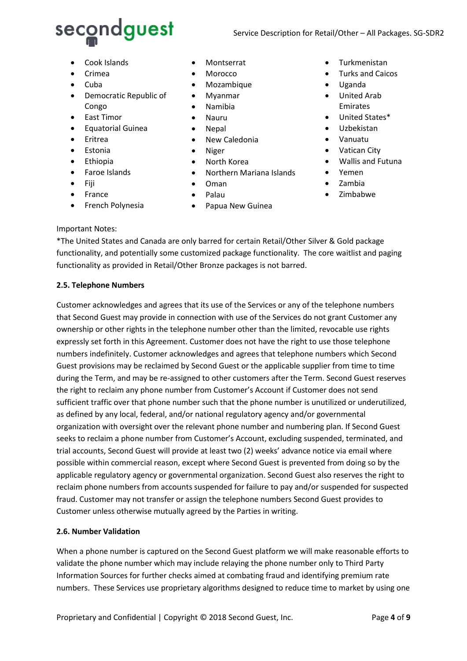

- Cook Islands
- Crimea
- Cuba
- Democratic Republic of Congo
- East Timor
- Equatorial Guinea
- Eritrea
- Estonia
- Ethiopia
- Faroe Islands
- Fiji
- France
- French Polynesia
- Montserrat
- Morocco
- Mozambique
- Myanmar
- Namibia
- Nauru
- Nepal
- New Caledonia
- Niger
- North Korea
- Northern Mariana Islands
- Oman
- Palau
- Papua New Guinea
- Turkmenistan
- Turks and Caicos
- Uganda
- United Arab Emirates
- United States\*
- Uzbekistan
- Vanuatu
- Vatican City
- Wallis and Futuna
- Yemen
- Zambia
- Zimbabwe

#### Important Notes:

\*The United States and Canada are only barred for certain Retail/Other Silver & Gold package functionality, and potentially some customized package functionality. The core waitlist and paging functionality as provided in Retail/Other Bronze packages is not barred.

#### **2.5. Telephone Numbers**

Customer acknowledges and agrees that its use of the Services or any of the telephone numbers that Second Guest may provide in connection with use of the Services do not grant Customer any ownership or other rights in the telephone number other than the limited, revocable use rights expressly set forth in this Agreement. Customer does not have the right to use those telephone numbers indefinitely. Customer acknowledges and agrees that telephone numbers which Second Guest provisions may be reclaimed by Second Guest or the applicable supplier from time to time during the Term, and may be re-assigned to other customers after the Term. Second Guest reserves the right to reclaim any phone number from Customer's Account if Customer does not send sufficient traffic over that phone number such that the phone number is unutilized or underutilized, as defined by any local, federal, and/or national regulatory agency and/or governmental organization with oversight over the relevant phone number and numbering plan. If Second Guest seeks to reclaim a phone number from Customer's Account, excluding suspended, terminated, and trial accounts, Second Guest will provide at least two (2) weeks' advance notice via email where possible within commercial reason, except where Second Guest is prevented from doing so by the applicable regulatory agency or governmental organization. Second Guest also reserves the right to reclaim phone numbers from accounts suspended for failure to pay and/or suspended for suspected fraud. Customer may not transfer or assign the telephone numbers Second Guest provides to Customer unless otherwise mutually agreed by the Parties in writing.

#### **2.6. Number Validation**

When a phone number is captured on the Second Guest platform we will make reasonable efforts to validate the phone number which may include relaying the phone number only to Third Party Information Sources for further checks aimed at combating fraud and identifying premium rate numbers. These Services use proprietary algorithms designed to reduce time to market by using one

Proprietary and Confidential | Copyright © 2018 Second Guest, Inc. Page 4 of 9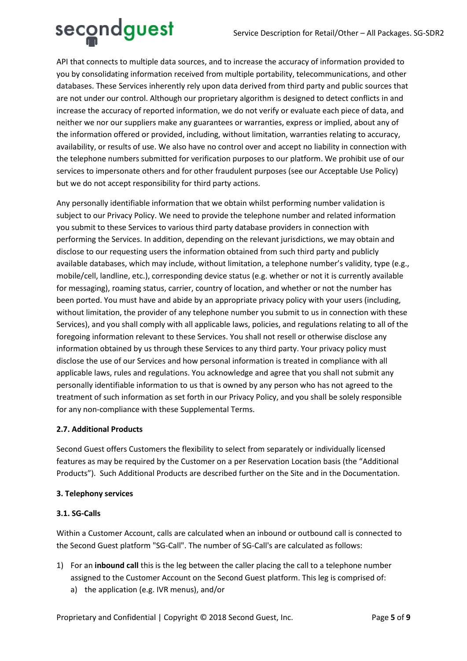

API that connects to multiple data sources, and to increase the accuracy of information provided to you by consolidating information received from multiple portability, telecommunications, and other databases. These Services inherently rely upon data derived from third party and public sources that are not under our control. Although our proprietary algorithm is designed to detect conflicts in and increase the accuracy of reported information, we do not verify or evaluate each piece of data, and neither we nor our suppliers make any guarantees or warranties, express or implied, about any of the information offered or provided, including, without limitation, warranties relating to accuracy, availability, or results of use. We also have no control over and accept no liability in connection with the telephone numbers submitted for verification purposes to our platform. We prohibit use of our services to impersonate others and for other fraudulent purposes (see our Acceptable Use Policy) but we do not accept responsibility for third party actions.

Any personally identifiable information that we obtain whilst performing number validation is subject to our Privacy Policy. We need to provide the telephone number and related information you submit to these Services to various third party database providers in connection with performing the Services. In addition, depending on the relevant jurisdictions, we may obtain and disclose to our requesting users the information obtained from such third party and publicly available databases, which may include, without limitation, a telephone number's validity, type (e.g., mobile/cell, landline, etc.), corresponding device status (e.g. whether or not it is currently available for messaging), roaming status, carrier, country of location, and whether or not the number has been ported. You must have and abide by an appropriate privacy policy with your users (including, without limitation, the provider of any telephone number you submit to us in connection with these Services), and you shall comply with all applicable laws, policies, and regulations relating to all of the foregoing information relevant to these Services. You shall not resell or otherwise disclose any information obtained by us through these Services to any third party. Your privacy policy must disclose the use of our Services and how personal information is treated in compliance with all applicable laws, rules and regulations. You acknowledge and agree that you shall not submit any personally identifiable information to us that is owned by any person who has not agreed to the treatment of such information as set forth in our Privacy Policy, and you shall be solely responsible for any non-compliance with these Supplemental Terms.

#### **2.7. Additional Products**

Second Guest offers Customers the flexibility to select from separately or individually licensed features as may be required by the Customer on a per Reservation Location basis (the "Additional Products"). Such Additional Products are described further on the Site and in the Documentation.

#### **3. Telephony services**

#### **3.1. SG-Calls**

Within a Customer Account, calls are calculated when an inbound or outbound call is connected to the Second Guest platform "SG-Call". The number of SG-Call's are calculated as follows:

- 1) For an **inbound call** this is the leg between the caller placing the call to a telephone number assigned to the Customer Account on the Second Guest platform. This leg is comprised of:
	- a) the application (e.g. IVR menus), and/or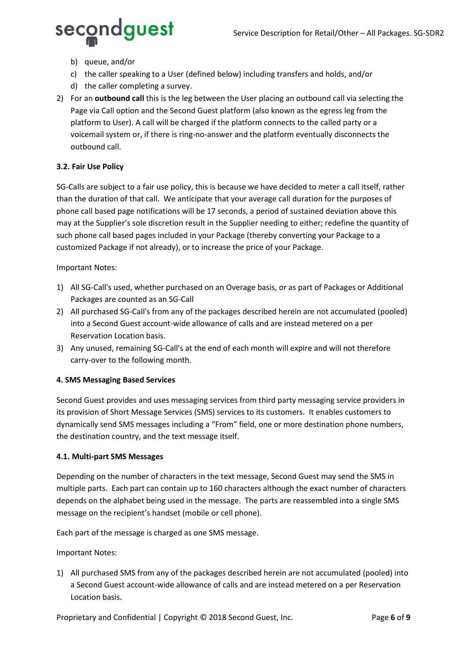

- b) queue, and/or
- c) the caller speaking to a User (defined below) including transfers and holds, and/or
- d) the caller completing a survey.
- 2) For an **outbound call** this is the leg between the User placing an outbound call via selecting the Page via Call option and the Second Guest platform (also known as the egress leg from the platform to User). A call will be charged if the platform connects to the called party or a voicemail system or, if there is ring-no-answer and the platform eventually disconnects the outbound call.

# **3.2. Fair Use Policy**

SG-Calls are subject to a fair use policy, this is because we have decided to meter a call itself, rather than the duration of that call. We anticipate that your average call duration for the purposes of phone call based page notifications will be 17 seconds, a period of sustained deviation above this may at the Supplier's sole discretion result in the Supplier needing to either; redefine the quantity of such phone call based pages included in your Package (thereby converting your Package to a customized Package if not already), or to increase the price of your Package.

## Important Notes:

- 1) All SG-Call's used, whether purchased on an Overage basis, or as part of Packages or Additional Packages are counted as an SG-Call
- 2) All purchased SG-Call's from any of the packages described herein are not accumulated (pooled) into a Second Guest account-wide allowance of calls and are instead metered on a per Reservation Location basis.
- 3) Any unused, remaining SG-Call's at the end of each month will expire and will not therefore carry-over to the following month.

# **4. SMS Messaging Based Services**

Second Guest provides and uses messaging services from third party messaging service providers in its provision of Short Message Services (SMS) services to its customers. It enables customers to dynamically send SMS messages including a "From" field, one or more destination phone numbers, the destination country, and the text message itself.

#### **4.1. Multi-part SMS Messages**

Depending on the number of characters in the text message, Second Guest may send the SMS in multiple parts. Each part can contain up to 160 characters although the exact number of characters depends on the alphabet being used in the message. The parts are reassembled into a single SMS message on the recipient's handset (mobile or cell phone).

Each part of the message is charged as one SMS message.

Important Notes:

1) All purchased SMS from any of the packages described herein are not accumulated (pooled) into a Second Guest account-wide allowance of calls and are instead metered on a per Reservation Location basis.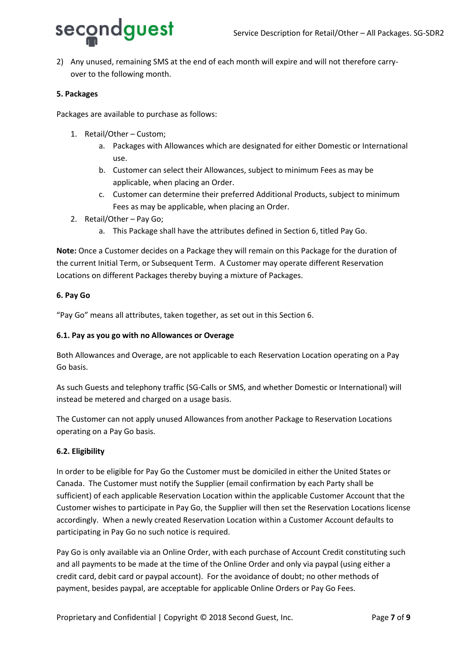

2) Any unused, remaining SMS at the end of each month will expire and will not therefore carryover to the following month.

#### **5. Packages**

Packages are available to purchase as follows:

- 1. Retail/Other Custom;
	- a. Packages with Allowances which are designated for either Domestic or International use.
	- b. Customer can select their Allowances, subject to minimum Fees as may be applicable, when placing an Order.
	- c. Customer can determine their preferred Additional Products, subject to minimum Fees as may be applicable, when placing an Order.
- 2. Retail/Other Pay Go;
	- a. This Package shall have the attributes defined in Section 6, titled Pay Go.

**Note:** Once a Customer decides on a Package they will remain on this Package for the duration of the current Initial Term, or Subsequent Term. A Customer may operate different Reservation Locations on different Packages thereby buying a mixture of Packages.

#### **6. Pay Go**

"Pay Go" means all attributes, taken together, as set out in this Section 6.

#### **6.1. Pay as you go with no Allowances or Overage**

Both Allowances and Overage, are not applicable to each Reservation Location operating on a Pay Go basis.

As such Guests and telephony traffic (SG-Calls or SMS, and whether Domestic or International) will instead be metered and charged on a usage basis.

The Customer can not apply unused Allowances from another Package to Reservation Locations operating on a Pay Go basis.

#### **6.2. Eligibility**

In order to be eligible for Pay Go the Customer must be domiciled in either the United States or Canada. The Customer must notify the Supplier (email confirmation by each Party shall be sufficient) of each applicable Reservation Location within the applicable Customer Account that the Customer wishes to participate in Pay Go, the Supplier will then set the Reservation Locations license accordingly. When a newly created Reservation Location within a Customer Account defaults to participating in Pay Go no such notice is required.

Pay Go is only available via an Online Order, with each purchase of Account Credit constituting such and all payments to be made at the time of the Online Order and only via paypal (using either a credit card, debit card or paypal account). For the avoidance of doubt; no other methods of payment, besides paypal, are acceptable for applicable Online Orders or Pay Go Fees.

Proprietary and Confidential | Copyright © 2018 Second Guest, Inc. Page **7** of 9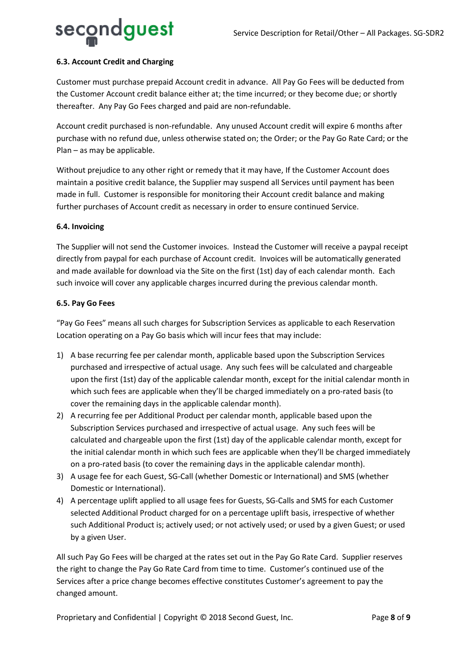![](_page_7_Picture_1.jpeg)

# **6.3. Account Credit and Charging**

Customer must purchase prepaid Account credit in advance. All Pay Go Fees will be deducted from the Customer Account credit balance either at; the time incurred; or they become due; or shortly thereafter. Any Pay Go Fees charged and paid are non-refundable.

Account credit purchased is non-refundable. Any unused Account credit will expire 6 months after purchase with no refund due, unless otherwise stated on; the Order; or the Pay Go Rate Card; or the Plan – as may be applicable.

Without prejudice to any other right or remedy that it may have, If the Customer Account does maintain a positive credit balance, the Supplier may suspend all Services until payment has been made in full. Customer is responsible for monitoring their Account credit balance and making further purchases of Account credit as necessary in order to ensure continued Service.

#### **6.4. Invoicing**

The Supplier will not send the Customer invoices. Instead the Customer will receive a paypal receipt directly from paypal for each purchase of Account credit. Invoices will be automatically generated and made available for download via the Site on the first (1st) day of each calendar month. Each such invoice will cover any applicable charges incurred during the previous calendar month.

## **6.5. Pay Go Fees**

"Pay Go Fees" means all such charges for Subscription Services as applicable to each Reservation Location operating on a Pay Go basis which will incur fees that may include:

- 1) A base recurring fee per calendar month, applicable based upon the Subscription Services purchased and irrespective of actual usage. Any such fees will be calculated and chargeable upon the first (1st) day of the applicable calendar month, except for the initial calendar month in which such fees are applicable when they'll be charged immediately on a pro-rated basis (to cover the remaining days in the applicable calendar month).
- 2) A recurring fee per Additional Product per calendar month, applicable based upon the Subscription Services purchased and irrespective of actual usage. Any such fees will be calculated and chargeable upon the first (1st) day of the applicable calendar month, except for the initial calendar month in which such fees are applicable when they'll be charged immediately on a pro-rated basis (to cover the remaining days in the applicable calendar month).
- 3) A usage fee for each Guest, SG-Call (whether Domestic or International) and SMS (whether Domestic or International).
- 4) A percentage uplift applied to all usage fees for Guests, SG-Calls and SMS for each Customer selected Additional Product charged for on a percentage uplift basis, irrespective of whether such Additional Product is; actively used; or not actively used; or used by a given Guest; or used by a given User.

All such Pay Go Fees will be charged at the rates set out in the Pay Go Rate Card. Supplier reserves the right to change the Pay Go Rate Card from time to time. Customer's continued use of the Services after a price change becomes effective constitutes Customer's agreement to pay the changed amount.

Proprietary and Confidential | Copyright © 2018 Second Guest, Inc. Page 8 of 9